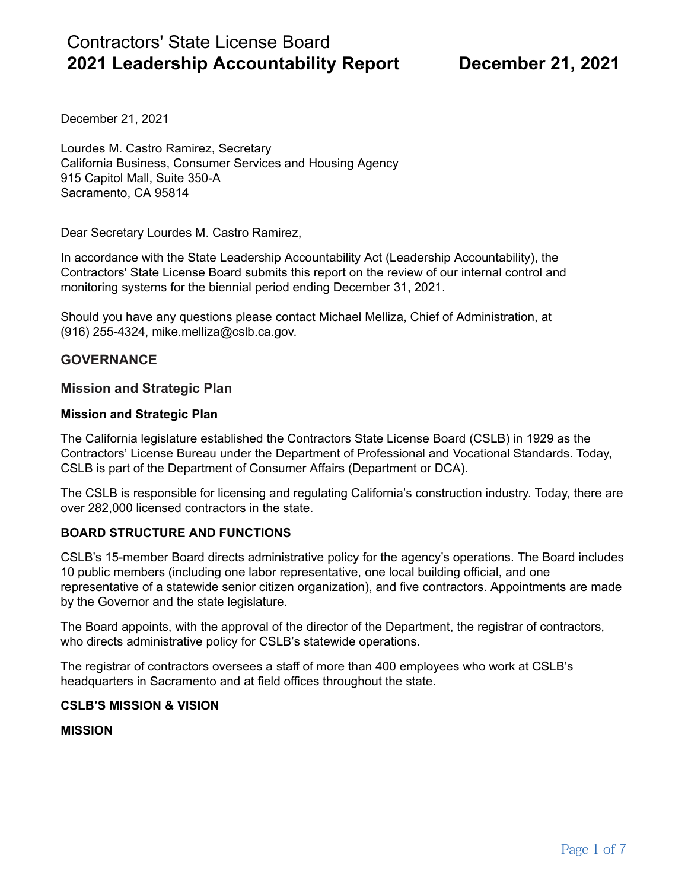December 21, 2021

Lourdes M. Castro Ramirez, Secretary California Business, Consumer Services and Housing Agency 915 Capitol Mall, Suite 350-A Sacramento, CA 95814

Dear Secretary Lourdes M. Castro Ramirez,

In accordance with the State Leadership Accountability Act (Leadership Accountability), the Contractors' State License Board submits this report on the review of our internal control and monitoring systems for the biennial period ending December 31, 2021.

Should you have any questions please contact Michael Melliza, Chief of Administration, at (916) 255-4324, mike.melliza@cslb.ca.gov.

# **GOVERNANCE**

## **Mission and Strategic Plan**

#### **Mission and Strategic Plan**

The California legislature established the Contractors State License Board (CSLB) in 1929 as the Contractors' License Bureau under the Department of Professional and Vocational Standards. Today, CSLB is part of the Department of Consumer Affairs (Department or DCA).

The CSLB is responsible for licensing and regulating California's construction industry. Today, there are over 282,000 licensed contractors in the state.

### **BOARD STRUCTURE AND FUNCTIONS**

CSLB's 15-member Board directs administrative policy for the agency's operations. The Board includes 10 public members (including one labor representative, one local building official, and one representative of a statewide senior citizen organization), and five contractors. Appointments are made by the Governor and the state legislature.

The Board appoints, with the approval of the director of the Department, the registrar of contractors, who directs administrative policy for CSLB's statewide operations.

The registrar of contractors oversees a staff of more than 400 employees who work at CSLB's headquarters in Sacramento and at field offices throughout the state.

#### **CSLB'S MISSION & VISION**

#### **MISSION**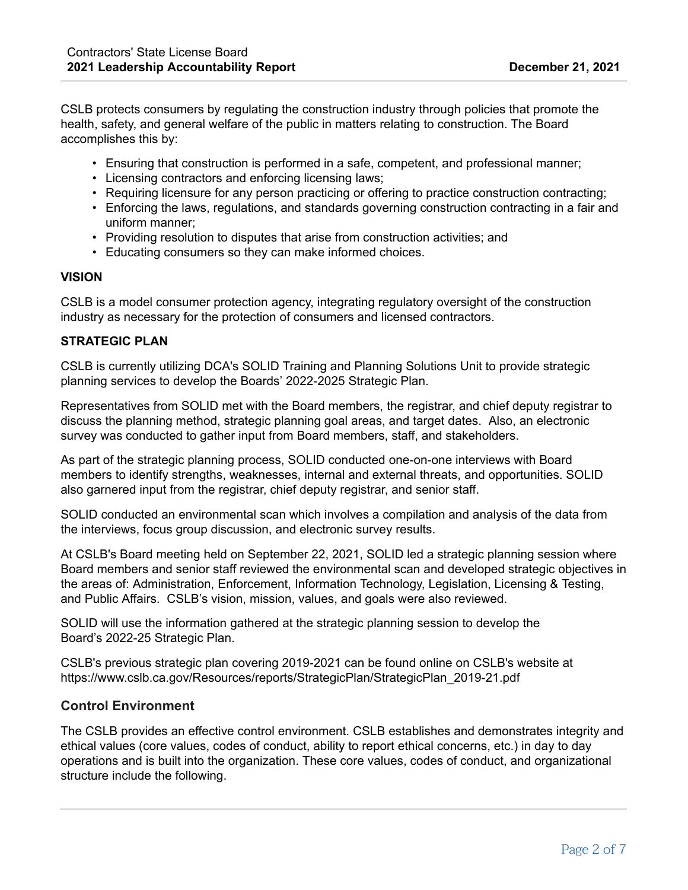CSLB protects consumers by regulating the construction industry through policies that promote the health, safety, and general welfare of the public in matters relating to construction. The Board accomplishes this by:

- Ensuring that construction is performed in a safe, competent, and professional manner;
- Licensing contractors and enforcing licensing laws;
- Requiring licensure for any person practicing or offering to practice construction contracting;
- Enforcing the laws, regulations, and standards governing construction contracting in a fair and uniform manner;
- Providing resolution to disputes that arise from construction activities; and
- Educating consumers so they can make informed choices.

### **VISION**

CSLB is a model consumer protection agency, integrating regulatory oversight of the construction industry as necessary for the protection of consumers and licensed contractors.

#### **STRATEGIC PLAN**

CSLB is currently utilizing DCA's SOLID Training and Planning Solutions Unit to provide strategic planning services to develop the Boards' 2022-2025 Strategic Plan.

Representatives from SOLID met with the Board members, the registrar, and chief deputy registrar to discuss the planning method, strategic planning goal areas, and target dates. Also, an electronic survey was conducted to gather input from Board members, staff, and stakeholders.

As part of the strategic planning process, SOLID conducted one-on-one interviews with Board members to identify strengths, weaknesses, internal and external threats, and opportunities. SOLID also garnered input from the registrar, chief deputy registrar, and senior staff.

SOLID conducted an environmental scan which involves a compilation and analysis of the data from the interviews, focus group discussion, and electronic survey results.

At CSLB's Board meeting held on September 22, 2021, SOLID led a strategic planning session where Board members and senior staff reviewed the environmental scan and developed strategic objectives in the areas of: Administration, Enforcement, Information Technology, Legislation, Licensing & Testing, and Public Affairs. CSLB's vision, mission, values, and goals were also reviewed.

SOLID will use the information gathered at the strategic planning session to develop the Board's 2022-25 Strategic Plan.

CSLB's previous strategic plan covering 2019-2021 can be found online on CSLB's website at https://www.cslb.ca.gov/Resources/reports/StrategicPlan/StrategicPlan\_2019-21.pdf

## **Control Environment**

The CSLB provides an effective control environment. CSLB establishes and demonstrates integrity and ethical values (core values, codes of conduct, ability to report ethical concerns, etc.) in day to day operations and is built into the organization. These core values, codes of conduct, and organizational structure include the following.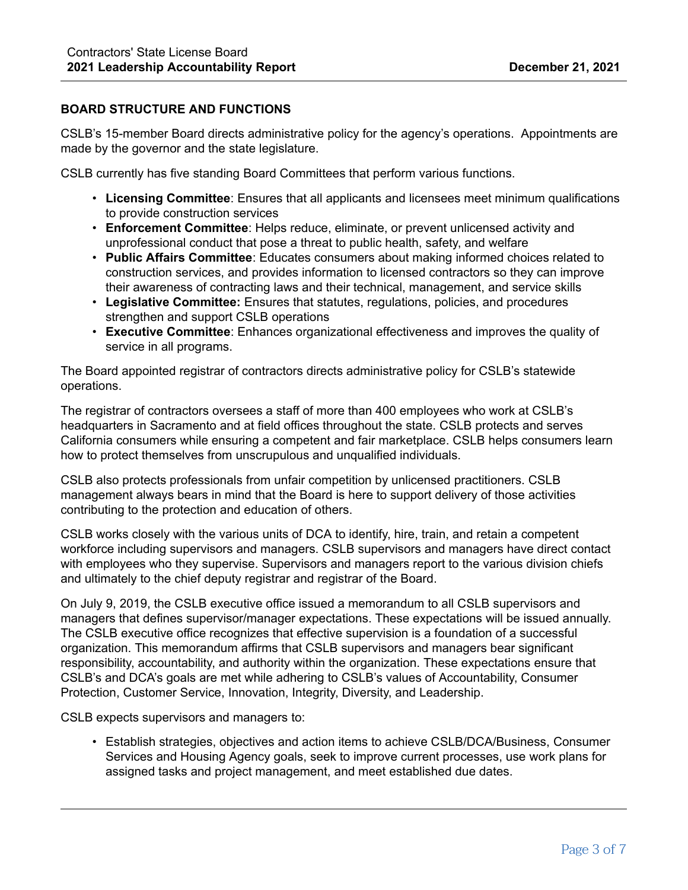## **BOARD STRUCTURE AND FUNCTIONS**

CSLB's 15-member Board directs administrative policy for the agency's operations. Appointments are made by the governor and the state legislature.

CSLB currently has five standing Board Committees that perform various functions.

- **Licensing Committee**: Ensures that all applicants and licensees meet minimum qualifications to provide construction services
- **Enforcement Committee**: Helps reduce, eliminate, or prevent unlicensed activity and unprofessional conduct that pose a threat to public health, safety, and welfare
- **Public Affairs Committee**: Educates consumers about making informed choices related to construction services, and provides information to licensed contractors so they can improve their awareness of contracting laws and their technical, management, and service skills
- **Legislative Committee:** Ensures that statutes, regulations, policies, and procedures strengthen and support CSLB operations
- **Executive Committee**: Enhances organizational effectiveness and improves the quality of service in all programs.

The Board appointed registrar of contractors directs administrative policy for CSLB's statewide operations.

The registrar of contractors oversees a staff of more than 400 employees who work at CSLB's headquarters in Sacramento and at field offices throughout the state. CSLB protects and serves California consumers while ensuring a competent and fair marketplace. CSLB helps consumers learn how to protect themselves from unscrupulous and unqualified individuals.

CSLB also protects professionals from unfair competition by unlicensed practitioners. CSLB management always bears in mind that the Board is here to support delivery of those activities contributing to the protection and education of others.

CSLB works closely with the various units of DCA to identify, hire, train, and retain a competent workforce including supervisors and managers. CSLB supervisors and managers have direct contact with employees who they supervise. Supervisors and managers report to the various division chiefs and ultimately to the chief deputy registrar and registrar of the Board.

On July 9, 2019, the CSLB executive office issued a memorandum to all CSLB supervisors and managers that defines supervisor/manager expectations. These expectations will be issued annually. The CSLB executive office recognizes that effective supervision is a foundation of a successful organization. This memorandum affirms that CSLB supervisors and managers bear significant responsibility, accountability, and authority within the organization. These expectations ensure that CSLB's and DCA's goals are met while adhering to CSLB's values of Accountability, Consumer Protection, Customer Service, Innovation, Integrity, Diversity, and Leadership.

CSLB expects supervisors and managers to:

• Establish strategies, objectives and action items to achieve CSLB/DCA/Business, Consumer Services and Housing Agency goals, seek to improve current processes, use work plans for assigned tasks and project management, and meet established due dates.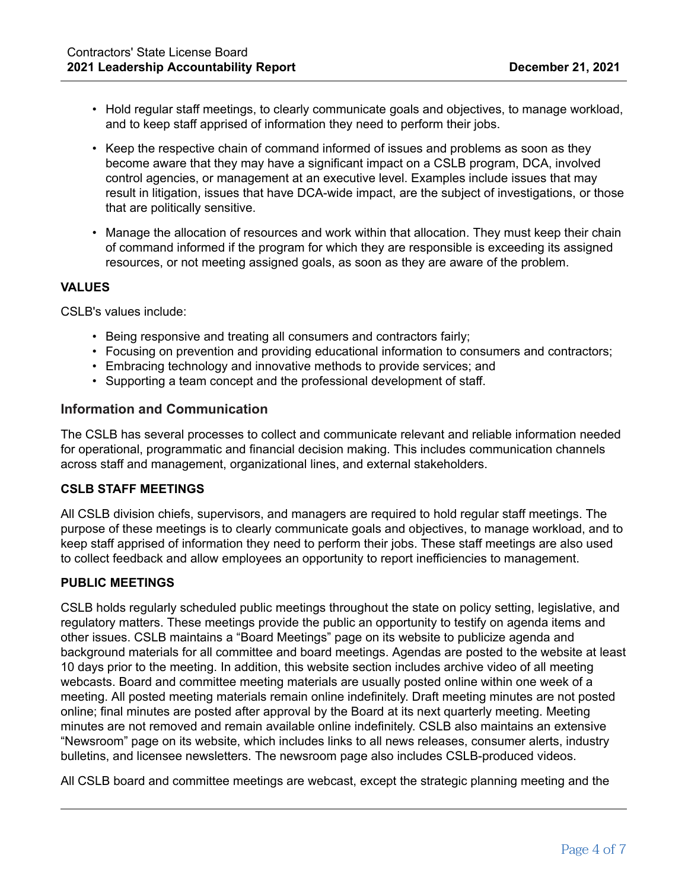- Hold regular staff meetings, to clearly communicate goals and objectives, to manage workload, and to keep staff apprised of information they need to perform their jobs.
- Keep the respective chain of command informed of issues and problems as soon as they become aware that they may have a significant impact on a CSLB program, DCA, involved control agencies, or management at an executive level. Examples include issues that may result in litigation, issues that have DCA-wide impact, are the subject of investigations, or those that are politically sensitive.
- Manage the allocation of resources and work within that allocation. They must keep their chain of command informed if the program for which they are responsible is exceeding its assigned resources, or not meeting assigned goals, as soon as they are aware of the problem.

### **VALUES**

CSLB's values include:

- Being responsive and treating all consumers and contractors fairly;
- Focusing on prevention and providing educational information to consumers and contractors;
- Embracing technology and innovative methods to provide services; and
- Supporting a team concept and the professional development of staff.

### **Information and Communication**

The CSLB has several processes to collect and communicate relevant and reliable information needed for operational, programmatic and financial decision making. This includes communication channels across staff and management, organizational lines, and external stakeholders.

### **CSLB STAFF MEETINGS**

All CSLB division chiefs, supervisors, and managers are required to hold regular staff meetings. The purpose of these meetings is to clearly communicate goals and objectives, to manage workload, and to keep staff apprised of information they need to perform their jobs. These staff meetings are also used to collect feedback and allow employees an opportunity to report inefficiencies to management.

### **PUBLIC MEETINGS**

CSLB holds regularly scheduled public meetings throughout the state on policy setting, legislative, and regulatory matters. These meetings provide the public an opportunity to testify on agenda items and other issues. CSLB maintains a "Board Meetings" page on its website to publicize agenda and background materials for all committee and board meetings. Agendas are posted to the website at least 10 days prior to the meeting. In addition, this website section includes archive video of all meeting webcasts. Board and committee meeting materials are usually posted online within one week of a meeting. All posted meeting materials remain online indefinitely. Draft meeting minutes are not posted online; final minutes are posted after approval by the Board at its next quarterly meeting. Meeting minutes are not removed and remain available online indefinitely. CSLB also maintains an extensive "Newsroom" page on its website, which includes links to all news releases, consumer alerts, industry bulletins, and licensee newsletters. The newsroom page also includes CSLB-produced videos.

All CSLB board and committee meetings are webcast, except the strategic planning meeting and the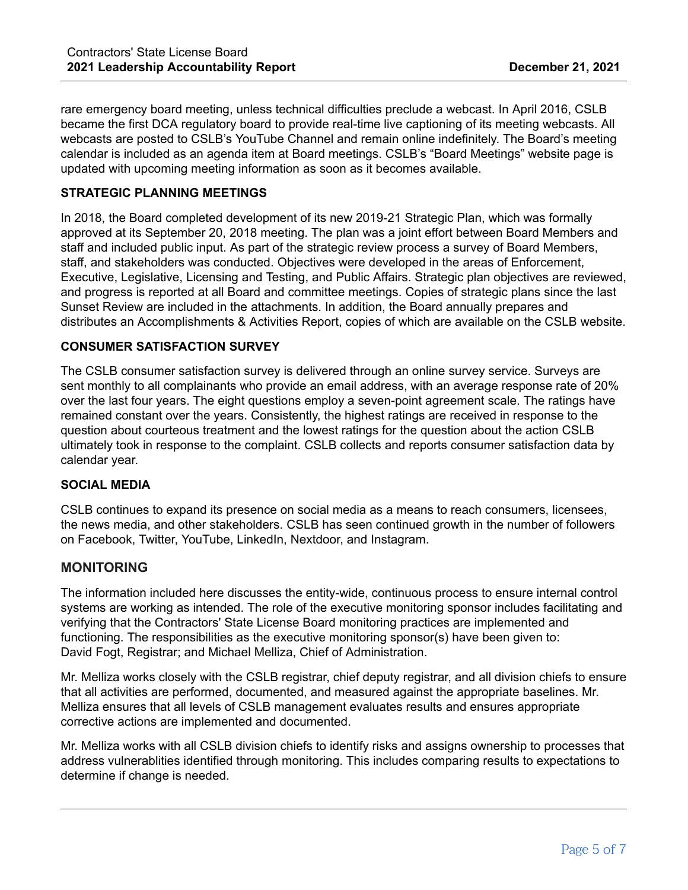rare emergency board meeting, unless technical difficulties preclude a webcast. In April 2016, CSLB became the first DCA regulatory board to provide real-time live captioning of its meeting webcasts. All webcasts are posted to CSLB's YouTube Channel and remain online indefinitely. The Board's meeting calendar is included as an agenda item at Board meetings. CSLB's "Board Meetings" website page is updated with upcoming meeting information as soon as it becomes available.

## **STRATEGIC PLANNING MEETINGS**

In 2018, the Board completed development of its new 2019-21 Strategic Plan, which was formally approved at its September 20, 2018 meeting. The plan was a joint effort between Board Members and staff and included public input. As part of the strategic review process a survey of Board Members, staff, and stakeholders was conducted. Objectives were developed in the areas of Enforcement, Executive, Legislative, Licensing and Testing, and Public Affairs. Strategic plan objectives are reviewed, and progress is reported at all Board and committee meetings. Copies of strategic plans since the last Sunset Review are included in the attachments. In addition, the Board annually prepares and distributes an Accomplishments & Activities Report, copies of which are available on the CSLB website.

### **CONSUMER SATISFACTION SURVEY**

The CSLB consumer satisfaction survey is delivered through an online survey service. Surveys are sent monthly to all complainants who provide an email address, with an average response rate of 20% over the last four years. The eight questions employ a seven-point agreement scale. The ratings have remained constant over the years. Consistently, the highest ratings are received in response to the question about courteous treatment and the lowest ratings for the question about the action CSLB ultimately took in response to the complaint. CSLB collects and reports consumer satisfaction data by calendar year.

#### **SOCIAL MEDIA**

CSLB continues to expand its presence on social media as a means to reach consumers, licensees, the news media, and other stakeholders. CSLB has seen continued growth in the number of followers on Facebook, Twitter, YouTube, LinkedIn, Nextdoor, and Instagram.

## **MONITORING**

The information included here discusses the entity-wide, continuous process to ensure internal control systems are working as intended. The role of the executive monitoring sponsor includes facilitating and verifying that the Contractors' State License Board monitoring practices are implemented and functioning. The responsibilities as the executive monitoring sponsor(s) have been given to: David Fogt, Registrar; and Michael Melliza, Chief of Administration.

Mr. Melliza works closely with the CSLB registrar, chief deputy registrar, and all division chiefs to ensure that all activities are performed, documented, and measured against the appropriate baselines. Mr. Melliza ensures that all levels of CSLB management evaluates results and ensures appropriate corrective actions are implemented and documented.

Mr. Melliza works with all CSLB division chiefs to identify risks and assigns ownership to processes that address vulnerablities identified through monitoring. This includes comparing results to expectations to determine if change is needed.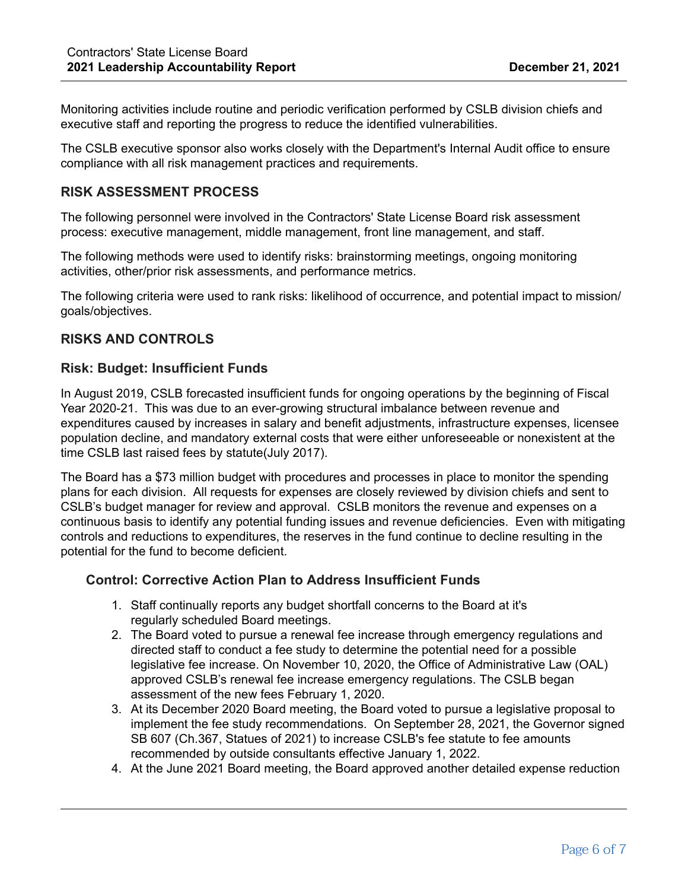Monitoring activities include routine and periodic verification performed by CSLB division chiefs and executive staff and reporting the progress to reduce the identified vulnerabilities.

The CSLB executive sponsor also works closely with the Department's Internal Audit office to ensure compliance with all risk management practices and requirements.

## **RISK ASSESSMENT PROCESS**

The following personnel were involved in the Contractors' State License Board risk assessment process: executive management, middle management, front line management, and staff.

The following methods were used to identify risks: brainstorming meetings, ongoing monitoring activities, other/prior risk assessments, and performance metrics.

The following criteria were used to rank risks: likelihood of occurrence, and potential impact to mission/ goals/objectives.

## **RISKS AND CONTROLS**

#### **Risk: Budget: Insufficient Funds**

In August 2019, CSLB forecasted insufficient funds for ongoing operations by the beginning of Fiscal Year 2020-21. This was due to an ever-growing structural imbalance between revenue and expenditures caused by increases in salary and benefit adjustments, infrastructure expenses, licensee population decline, and mandatory external costs that were either unforeseeable or nonexistent at the time CSLB last raised fees by statute(July 2017).

The Board has a \$73 million budget with procedures and processes in place to monitor the spending plans for each division. All requests for expenses are closely reviewed by division chiefs and sent to CSLB's budget manager for review and approval. CSLB monitors the revenue and expenses on a continuous basis to identify any potential funding issues and revenue deficiencies. Even with mitigating controls and reductions to expenditures, the reserves in the fund continue to decline resulting in the potential for the fund to become deficient.

#### **Control: Corrective Action Plan to Address Insufficient Funds**

- 1. Staff continually reports any budget shortfall concerns to the Board at it's regularly scheduled Board meetings.
- 2. The Board voted to pursue a renewal fee increase through emergency regulations and directed staff to conduct a fee study to determine the potential need for a possible legislative fee increase. On November 10, 2020, the Office of Administrative Law (OAL) approved CSLB's renewal fee increase emergency regulations. The CSLB began assessment of the new fees February 1, 2020.
- 3. At its December 2020 Board meeting, the Board voted to pursue a legislative proposal to implement the fee study recommendations. On September 28, 2021, the Governor signed SB 607 (Ch.367, Statues of 2021) to increase CSLB's fee statute to fee amounts recommended by outside consultants effective January 1, 2022.
- 4. At the June 2021 Board meeting, the Board approved another detailed expense reduction